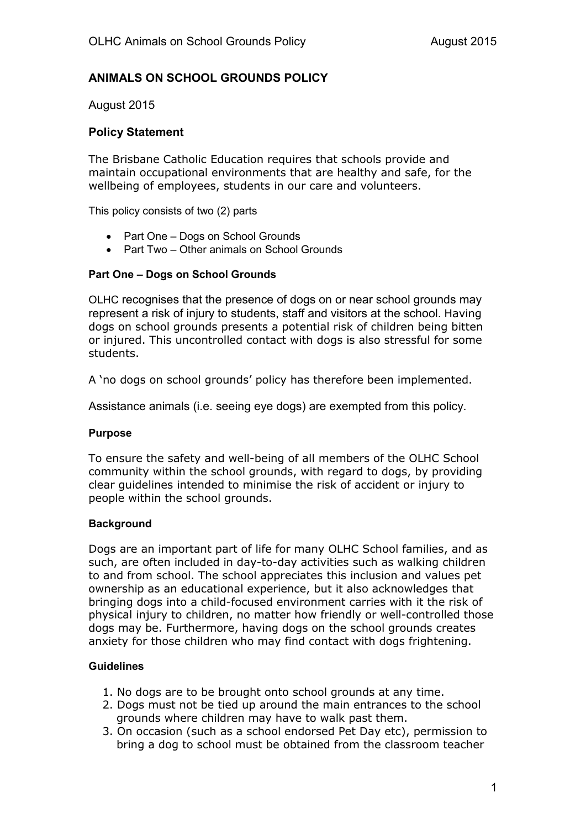# **ANIMALS ON SCHOOL GROUNDS POLICY**

August 2015

## **Policy Statement**

The Brisbane Catholic Education requires that schools provide and maintain occupational environments that are healthy and safe, for the wellbeing of employees, students in our care and volunteers.

This policy consists of two (2) parts

- Part One Dogs on School Grounds
- Part Two Other animals on School Grounds

## **Part One – Dogs on School Grounds**

OLHC recognises that the presence of dogs on or near school grounds may represent a risk of injury to students, staff and visitors at the school. Having dogs on school grounds presents a potential risk of children being bitten or injured. This uncontrolled contact with dogs is also stressful for some students.

A 'no dogs on school grounds' policy has therefore been implemented.

Assistance animals (i.e. seeing eye dogs) are exempted from this policy.

### **Purpose**

To ensure the safety and well-being of all members of the OLHC School community within the school grounds, with regard to dogs, by providing clear guidelines intended to minimise the risk of accident or injury to people within the school grounds.

### **Background**

Dogs are an important part of life for many OLHC School families, and as such, are often included in day-to-day activities such as walking children to and from school. The school appreciates this inclusion and values pet ownership as an educational experience, but it also acknowledges that bringing dogs into a child-focused environment carries with it the risk of physical injury to children, no matter how friendly or well-controlled those dogs may be. Furthermore, having dogs on the school grounds creates anxiety for those children who may find contact with dogs frightening.

### **Guidelines**

- 1. No dogs are to be brought onto school grounds at any time.
- 2. Dogs must not be tied up around the main entrances to the school grounds where children may have to walk past them.
- 3. On occasion (such as a school endorsed Pet Day etc), permission to bring a dog to school must be obtained from the classroom teacher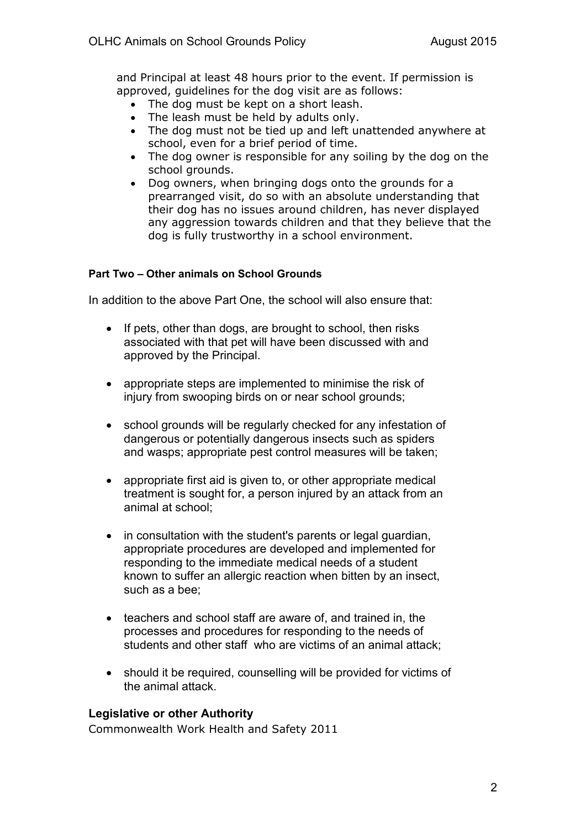and Principal at least 48 hours prior to the event. If permission is approved, guidelines for the dog visit are as follows:

- The dog must be kept on a short leash.
- The leash must be held by adults only.
- The dog must not be tied up and left unattended anywhere at school, even for a brief period of time.
- The dog owner is responsible for any soiling by the dog on the school grounds.
- Dog owners, when bringing dogs onto the grounds for a prearranged visit, do so with an absolute understanding that their dog has no issues around children, has never displayed any aggression towards children and that they believe that the dog is fully trustworthy in a school environment.

## **Part Two – Other animals on School Grounds**

In addition to the above Part One, the school will also ensure that:

- If pets, other than dogs, are brought to school, then risks associated with that pet will have been discussed with and approved by the Principal.
- appropriate steps are implemented to minimise the risk of injury from swooping birds on or near school grounds:
- school grounds will be regularly checked for any infestation of dangerous or potentially dangerous insects such as spiders and wasps; appropriate pest control measures will be taken;
- appropriate first aid is given to, or other appropriate medical treatment is sought for, a person injured by an attack from an animal at school;
- in consultation with the student's parents or legal quardian, appropriate procedures are developed and implemented for responding to the immediate medical needs of a student known to suffer an allergic reaction when bitten by an insect, such as a bee;
- teachers and school staff are aware of, and trained in, the processes and procedures for responding to the needs of students and other staff who are victims of an animal attack;
- should it be required, counselling will be provided for victims of the animal attack.

### **Legislative or other Authority**

Commonwealth Work Health and Safety 2011